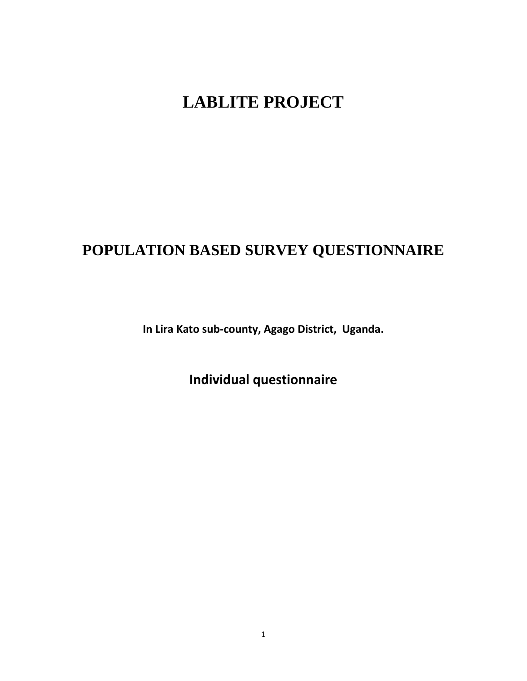# **LABLITE PROJECT**

## **POPULATION BASED SURVEY QUESTIONNAIRE**

**In Lira Kato sub-county, Agago District, Uganda.**

**Individual questionnaire**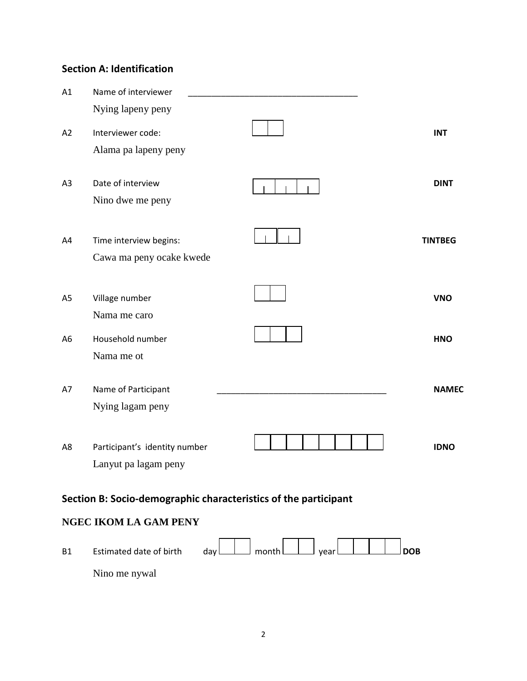## **Section A: Identification**

| A1             | Name of interviewer                                             |                |
|----------------|-----------------------------------------------------------------|----------------|
|                | Nying lapeny peny                                               |                |
| A2             | Interviewer code:<br>Alama pa lapeny peny                       | <b>INT</b>     |
| A <sub>3</sub> | Date of interview<br>Nino dwe me peny                           | <b>DINT</b>    |
| A4             | Time interview begins:<br>Cawa ma peny ocake kwede              | <b>TINTBEG</b> |
| A <sub>5</sub> | Village number<br>Nama me caro                                  | <b>VNO</b>     |
| A <sub>6</sub> | Household number<br>Nama me ot                                  | <b>HNO</b>     |
| A7             | Name of Participant<br>Nying lagam peny                         | <b>NAMEC</b>   |
| A8             | Participant's identity number<br>Lanyut pa lagam peny           | <b>IDNO</b>    |
|                | Section B: Socio-demographic characteristics of the participant |                |

## **NGEC IKOM LA GAM PENY**

| <b>B1</b> | Estimated date of birth |  | $\log$ $\lfloor$ month $\lfloor$ vear $\lfloor$ $\rfloor$ |  |  |  | $\overline{\rm}$ DOB |
|-----------|-------------------------|--|-----------------------------------------------------------|--|--|--|----------------------|
|           | Nino me nywal           |  |                                                           |  |  |  |                      |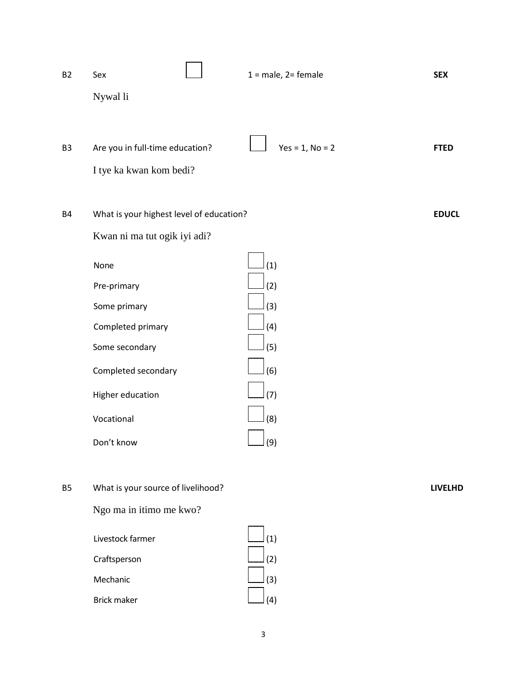| <b>B2</b>      | Sex                                      | $1 = male$ , $2 = female$ | <b>SEX</b>     |
|----------------|------------------------------------------|---------------------------|----------------|
|                | Nywal li                                 |                           |                |
|                |                                          |                           |                |
| B <sub>3</sub> | Are you in full-time education?          | $Yes = 1, No = 2$         | <b>FTED</b>    |
|                | I tye ka kwan kom bedi?                  |                           |                |
|                |                                          |                           |                |
| <b>B4</b>      | What is your highest level of education? |                           | <b>EDUCL</b>   |
|                | Kwan ni ma tut ogik iyi adi?             |                           |                |
|                | None                                     | (1)                       |                |
|                | Pre-primary                              | (2)                       |                |
|                | Some primary                             | (3)                       |                |
|                | Completed primary                        | (4)                       |                |
|                | Some secondary                           | (5)                       |                |
|                | Completed secondary                      | (6)                       |                |
|                | Higher education                         | (7)                       |                |
|                | Vocational                               | (8)                       |                |
|                | Don't know                               | $\Box$ (9)                |                |
|                |                                          |                           |                |
| <b>B5</b>      | What is your source of livelihood?       |                           | <b>LIVELHD</b> |
|                | Ngo ma in itimo me kwo?                  |                           |                |
|                | Livestock farmer                         | (1)                       |                |
|                | Craftsperson                             | (2)                       |                |
|                | Mechanic                                 | (3)                       |                |
|                | <b>Brick maker</b>                       | (4)                       |                |

3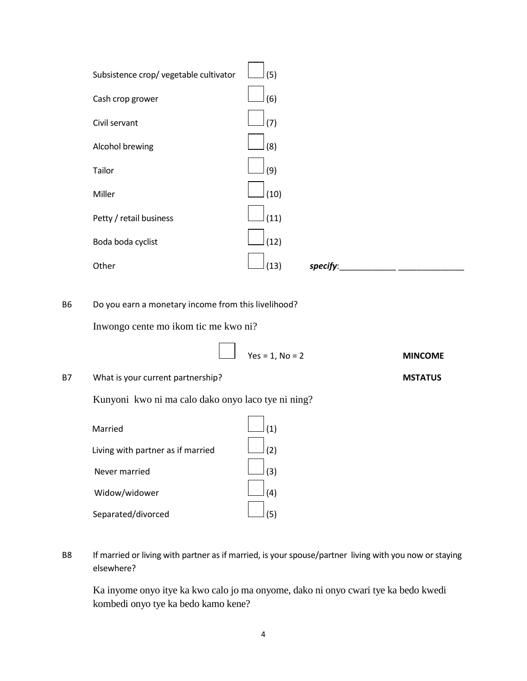| Subsistence crop/ vegetable cultivator | (5)  |          |  |
|----------------------------------------|------|----------|--|
| Cash crop grower                       | (6)  |          |  |
| Civil servant                          | (7)  |          |  |
| Alcohol brewing                        | (8)  |          |  |
|                                        |      |          |  |
| Tailor                                 | (9)  |          |  |
| Miller                                 | (10) |          |  |
| Petty / retail business                | (11) |          |  |
| Boda boda cyclist                      | (12) |          |  |
| Other                                  | (13) | specify: |  |

B6 Do you earn a monetary income from this livelihood?

Inwongo cente mo ikom tic me kwo ni?

| $Yes = 1, No = 2$ | <b>MINCOME</b> |
|-------------------|----------------|

B7 What is your current partnership? **MSTATUS**

Kunyoni kwo ni ma calo dako onyo laco tye ni ning?

| Married                           | (1) |
|-----------------------------------|-----|
| Living with partner as if married | (2) |
| Never married                     |     |
| Widow/widower                     |     |
| Separated/divorced                |     |

B8 If married or living with partner as if married, is your spouse/partner living with you now or staying elsewhere?

Ka inyome onyo itye ka kwo calo jo ma onyome, dako ni onyo cwari tye ka bedo kwedi kombedi onyo tye ka bedo kamo kene?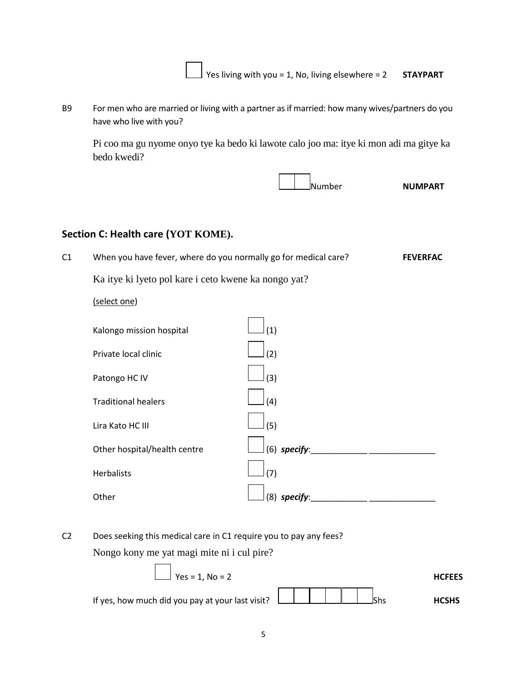Yes living with you = 1, No, living elsewhere = 2 **STAYPART**

B9 For men who are married or living with a partner as if married: how many wives/partners do you have who live with you?

Pi coo ma gu nyome onyo tye ka bedo ki lawote calo joo ma: itye ki mon adi ma gitye ka bedo kwedi?

Number **NUMPART**

## **Section C: Health care (YOT KOME).**

| C1 | When you have fever, where do you normally go for medical care? | <b>FEVERFAC</b> |
|----|-----------------------------------------------------------------|-----------------|
|    | Ka itye ki lyeto pol kare i ceto kwene ka nongo yat?            |                 |
|    | (select one)                                                    |                 |
|    | (1)<br>Kalongo mission hospital                                 |                 |

| Private local clinic         | (2)            |
|------------------------------|----------------|
| Patongo HC IV                | (3)            |
| <b>Traditional healers</b>   | (4)            |
| Lira Kato HC III             | (5)            |
| Other hospital/health centre | $(6)$ specify: |
| <b>Herbalists</b>            | (7)            |
| Other                        | $(8)$ specify: |
|                              |                |

C2 Does seeking this medical care in C1 require you to pay any fees? Nongo kony me yat magi mite ni i cul pire?

$$
Yes = 1, No = 2
$$
 HCFEES  
If yes, how much did you pay at your last visit?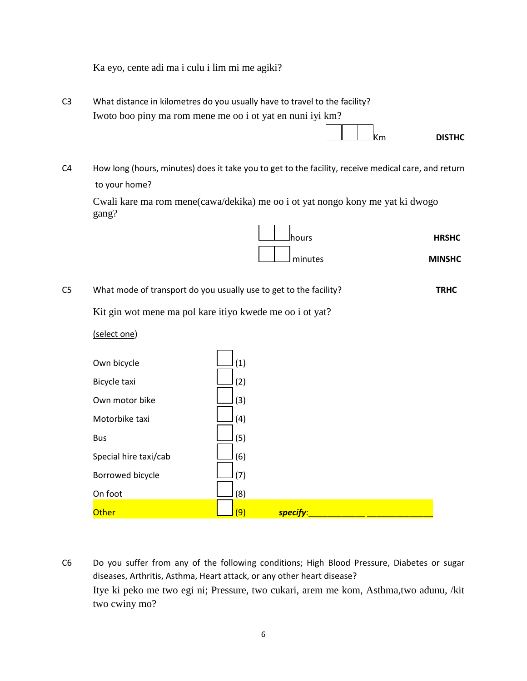Ka eyo, cente adi ma i culu i lim mi me agiki?

| C3 | What distance in kilometres do you usually have to travel to the facility?                                                                                                              |               |
|----|-----------------------------------------------------------------------------------------------------------------------------------------------------------------------------------------|---------------|
|    | Iwoto boo piny ma rom mene me oo i ot yat en nuni iyi km?                                                                                                                               |               |
|    | $\left  \begin{array}{c} \end{array} \right $ $\left  \begin{array}{c} \end{array} \right $ $\left  \begin{array}{c} \end{array} \right $ $\left  \begin{array}{c} \end{array} \right $ | <b>DISTHC</b> |

C4 How long (hours, minutes) does it take you to get to the facility, receive medical care, and return to your home?

Cwali kare ma rom mene(cawa/dekika) me oo i ot yat nongo kony me yat ki dwogo gang?

| <b>Jhours</b> | <b>HRSHC</b>  |
|---------------|---------------|
| minutes       | <b>MINSHC</b> |

C5 What mode of transport do you usually use to get to the facility? **TRHC**

Kit gin wot mene ma pol kare itiyo kwede me oo i ot yat?

(select one)

| Own bicycle           | (1) |          |  |
|-----------------------|-----|----------|--|
| Bicycle taxi          | (2) |          |  |
| Own motor bike        | (3) |          |  |
| Motorbike taxi        | (4) |          |  |
| <b>Bus</b>            | (5) |          |  |
| Special hire taxi/cab | (6) |          |  |
| Borrowed bicycle      | (7) |          |  |
| On foot               | (8) |          |  |
| <b>Other</b>          | (9) | specify: |  |

C6 Do you suffer from any of the following conditions; High Blood Pressure, Diabetes or sugar diseases, Arthritis, Asthma, Heart attack, or any other heart disease? Itye ki peko me two egi ni; Pressure, two cukari, arem me kom, Asthma,two adunu, /kit two cwiny mo?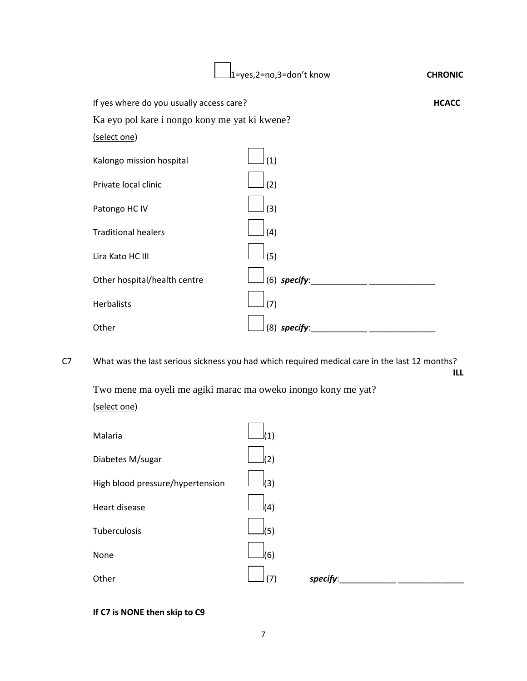|                                               | 1=yes,2=no,3=don't know | <b>CHRONIC</b> |
|-----------------------------------------------|-------------------------|----------------|
| If yes where do you usually access care?      |                         | <b>HCACC</b>   |
| Ka eyo pol kare i nongo kony me yat ki kwene? |                         |                |
| (select one)                                  |                         |                |
| Kalongo mission hospital                      | (1)                     |                |
| Private local clinic                          | (2)                     |                |
| Patongo HC IV                                 | (3)                     |                |
| <b>Traditional healers</b>                    | (4)                     |                |
| Lira Kato HC III                              | (5)                     |                |
| Other hospital/health centre                  | (6) specify:            |                |
| <b>Herbalists</b>                             | (7)                     |                |
| Other                                         | $(8)$ specify:          |                |

C7 What was the last serious sickness you had which required medical care in the last 12 months? **ILL**

Two mene ma oyeli me agiki marac ma oweko inongo kony me yat? (select one)

| Malaria                          |     |          |  |
|----------------------------------|-----|----------|--|
| Diabetes M/sugar                 | 2)  |          |  |
| High blood pressure/hypertension | (3) |          |  |
| Heart disease                    | (4) |          |  |
| Tuberculosis                     | (5) |          |  |
| None                             | (6) |          |  |
| Other                            | '7) | specify: |  |

## **If C7 is NONE then skip to C9**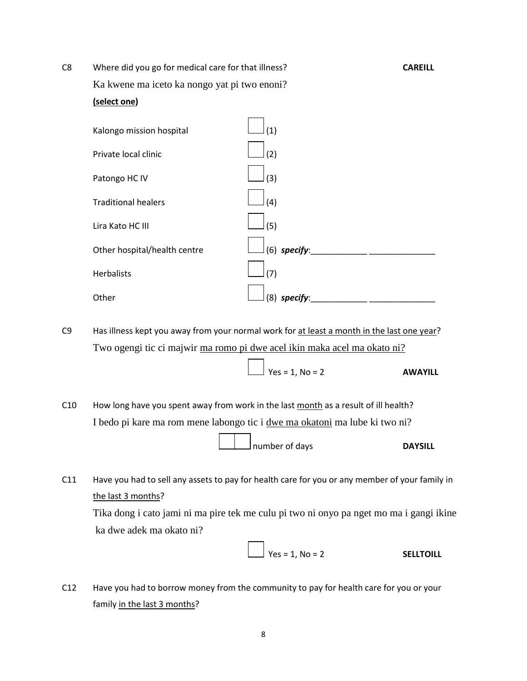| C8 | Where did you go for medical care for that illness? |                | <b>CAREILL</b> |
|----|-----------------------------------------------------|----------------|----------------|
|    | Ka kwene ma iceto ka nongo yat pi two enoni?        |                |                |
|    | (select one)                                        |                |                |
|    | Kalongo mission hospital                            | (1)            |                |
|    | Private local clinic                                | (2)            |                |
|    | Patongo HC IV                                       | (3)            |                |
|    | <b>Traditional healers</b>                          | (4)            |                |
|    | Lira Kato HC III                                    | (5)            |                |
|    | Other hospital/health centre                        | $(6)$ specify: |                |
|    | <b>Herbalists</b>                                   | (7)            |                |
|    | Other                                               | $(8)$ specify: |                |

C9 Has illness kept you away from your normal work for at least a month in the last one year? Two ogengi tic ci majwir ma romo pi dwe acel ikin maka acel ma okato ni?

 $\int$  Yes = 1, No = 2 **AWAYILL** 

C10 How long have you spent away from work in the last month as a result of ill health? I bedo pi kare ma rom mene labongo tic i dwe ma okatoni ma lube ki two ni?

number of days **DAYSILL** 

C11 Have you had to sell any assets to pay for health care for you or any member of your family in the last 3 months?

Tika dong i cato jami ni ma pire tek me culu pi two ni onyo pa nget mo ma i gangi ikine ka dwe adek ma okato ni?

 $\bigcup$  Yes = 1, No = 2 **SELLTOILL** 

C12 Have you had to borrow money from the community to pay for health care for you or your family in the last 3 months?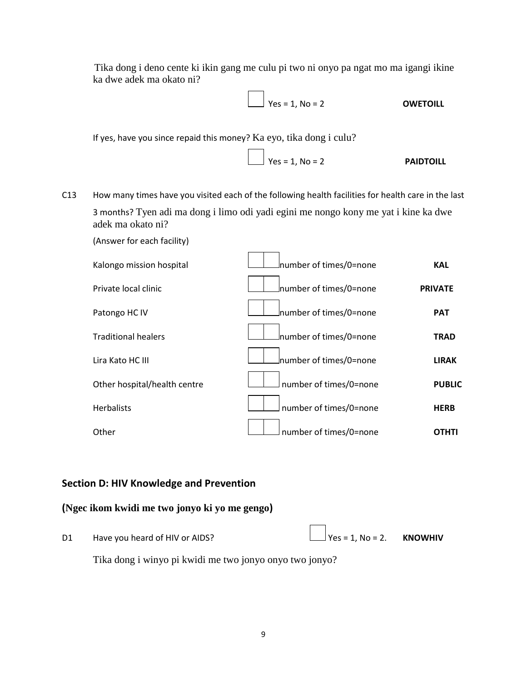Tika dong i deno cente ki ikin gang me culu pi two ni onyo pa ngat mo ma igangi ikine ka dwe adek ma okato ni?

$$
Yes = 1, No = 2
$$
 **OWETOLL**

If yes, have you since repaid this money? Ka eyo, tika dong i culu?

$$
Yes = 1, No = 2
$$
 **PAIDTOILL**

C13 How many times have you visited each of the following health facilities for health care in the last 3 months? Tyen adi ma dong i limo odi yadi egini me nongo kony me yat i kine ka dwe adek ma okato ni?

| Kalongo mission hospital     | number of times/0=none_ | <b>KAL</b>     |
|------------------------------|-------------------------|----------------|
| Private local clinic         | mumber of times/0=none  | <b>PRIVATE</b> |
| Patongo HC IV                | mumber of times/0=none  | <b>PAT</b>     |
| <b>Traditional healers</b>   | number of times/0=none_ | <b>TRAD</b>    |
| Lira Kato HC III             | mumber of times/0=none  | <b>LIRAK</b>   |
| Other hospital/health centre | number of times/0=none  | <b>PUBLIC</b>  |
| <b>Herbalists</b>            | number of times/0=none  | <b>HERB</b>    |
| Other                        | number of times/0=none  | <b>OTHTI</b>   |

## **Section D: HIV Knowledge and Prevention**

### **(Ngec ikom kwidi me two jonyo ki yo me gengo)**

D1 Have you heard of HIV or AIDS?  $\Box$  Yes = 1, No = 2. **KNOWHIV** 

(Answer for each facility)

Tika dong i winyo pi kwidi me two jonyo onyo two jonyo?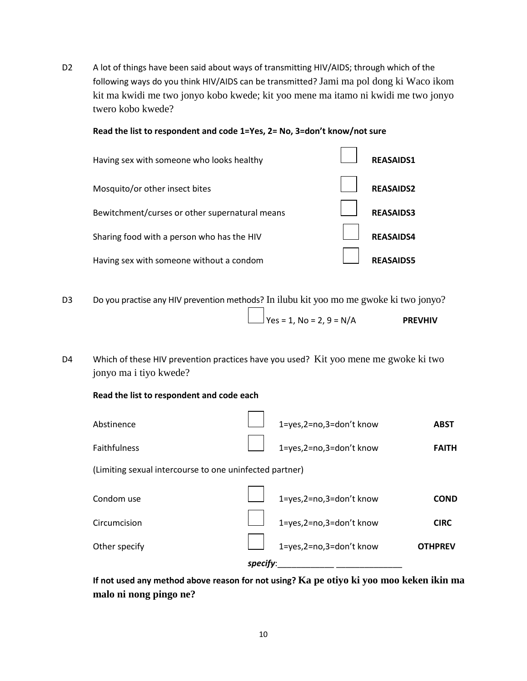D2 A lot of things have been said about ways of transmitting HIV/AIDS; through which of the following ways do you think HIV/AIDS can be transmitted? Jami ma pol dong ki Waco ikom kit ma kwidi me two jonyo kobo kwede; kit yoo mene ma itamo ni kwidi me two jonyo twero kobo kwede?

#### **Read the list to respondent and code 1=Yes, 2= No, 3=don't know/not sure**



- D3 Do you practise any HIV prevention methods? In ilubu kit yoo mo me gwoke ki two jonyo?  $\frac{1}{2}$  Yes = 1, No = 2, 9 = N/A **PREVHIV**
- D4 Which of these HIV prevention practices have you used? Kit yoo mene me gwoke ki two jonyo ma i tiyo kwede?

**Read the list to respondent and code each**

| Abstinence                                              |          | 1=yes,2=no,3=don't know | <b>ABST</b>    |
|---------------------------------------------------------|----------|-------------------------|----------------|
| Faithfulness                                            |          | 1=yes,2=no,3=don't know | <b>FAITH</b>   |
| (Limiting sexual intercourse to one uninfected partner) |          |                         |                |
| Condom use                                              |          | 1=yes,2=no,3=don't know | <b>COND</b>    |
| Circumcision                                            |          | 1=yes,2=no,3=don't know | <b>CIRC</b>    |
| Other specify                                           |          | 1=yes,2=no,3=don't know | <b>OTHPREV</b> |
|                                                         | specify: |                         |                |

**If not used any method above reason for not using? Ka pe otiyo ki yoo moo keken ikin ma malo ni nong pingo ne?**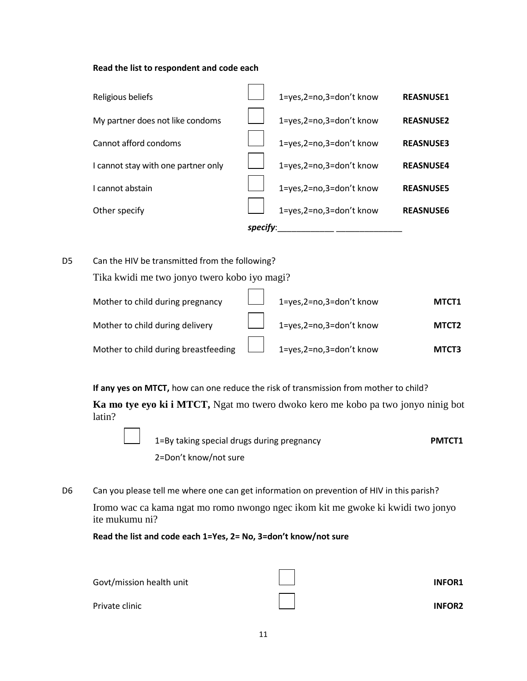#### **Read the list to respondent and code each**



D5 Can the HIV be transmitted from the following?

Tika kwidi me two jonyo twero kobo iyo magi?

| Mother to child during pregnancy                                      | 1=yes,2=no,3=don't know        | MTCT1             |
|-----------------------------------------------------------------------|--------------------------------|-------------------|
| Mother to child during delivery                                       | $\Box$ 1=yes,2=no,3=don't know | MTCT <sub>2</sub> |
| Mother to child during breastfeeding $\Box$ 1=yes, 2=no, 3=don't know |                                | MTCT3             |

**If any yes on MTCT,** how can one reduce the risk of transmission from mother to child?

**Ka mo tye eyo ki i MTCT,** Ngat mo twero dwoko kero me kobo pa two jonyo ninig bot latin?

| 1=By taking special drugs during pregnancy | <b>PMTCT1</b> |
|--------------------------------------------|---------------|
| 2=Don't know/not sure                      |               |

D6 Can you please tell me where one can get information on prevention of HIV in this parish? Iromo wac ca kama ngat mo romo nwongo ngec ikom kit me gwoke ki kwidi two jonyo ite mukumu ni?

**Read the list and code each 1=Yes, 2= No, 3=don't know/not sure**

| Govt/mission health unit | <b>INFOR1</b> |
|--------------------------|---------------|
| Private clinic           | <b>INFOR2</b> |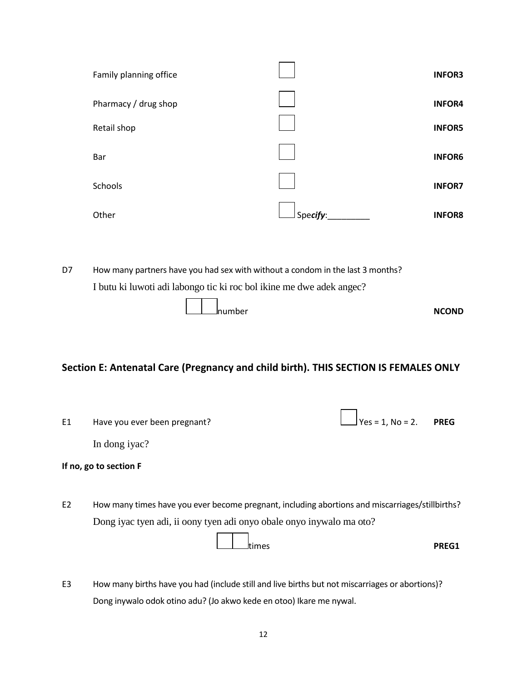| Family planning office |          | <b>INFOR3</b> |
|------------------------|----------|---------------|
| Pharmacy / drug shop   |          | <b>INFOR4</b> |
| Retail shop            |          | <b>INFOR5</b> |
| Bar                    |          | <b>INFOR6</b> |
| Schools                |          | <b>INFOR7</b> |
| Other                  | Specify: | <b>INFOR8</b> |

D7 How many partners have you had sex with without a condom in the last 3 months? I butu ki luwoti adi labongo tic ki roc bol ikine me dwe adek angec?

|  | ⊥____Inumber | <b>NCOND</b> |
|--|--------------|--------------|

## **Section E: Antenatal Care (Pregnancy and child birth). THIS SECTION IS FEMALES ONLY**

| E1             | Have you ever been pregnant?                                                                    | $\vert_{\text{Yes}} = 1$ , No = 2. PREG |              |
|----------------|-------------------------------------------------------------------------------------------------|-----------------------------------------|--------------|
|                | In dong iyac?                                                                                   |                                         |              |
|                | If no, go to section F                                                                          |                                         |              |
|                |                                                                                                 |                                         |              |
| E <sub>2</sub> | How many times have you ever become pregnant, including abortions and miscarriages/stillbirths? |                                         |              |
|                | Dong iyac tyen adi, ii oony tyen adi onyo obale onyo inywalo ma oto?                            |                                         |              |
|                | <b>ltimes</b>                                                                                   |                                         | <b>PREG1</b> |

E3 How many births have you had (include still and live births but not miscarriages or abortions)? Dong inywalo odok otino adu? (Jo akwo kede en otoo) Ikare me nywal.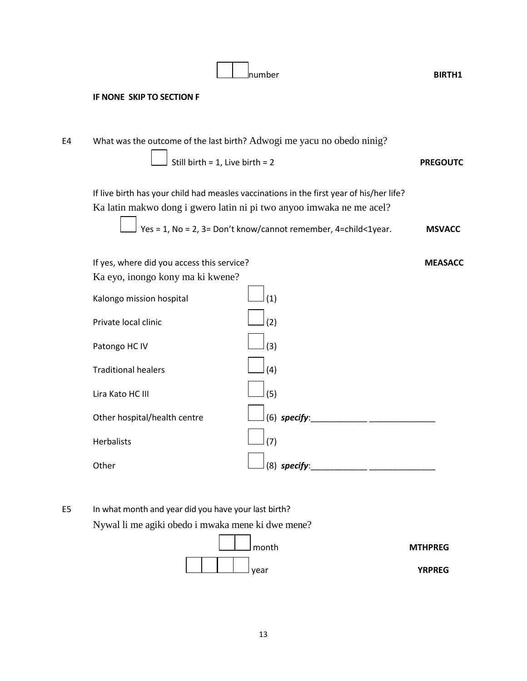|    | <b>IF NONE SKIP TO SECTION F</b>                                                                                                                                 |                 |
|----|------------------------------------------------------------------------------------------------------------------------------------------------------------------|-----------------|
| E4 | What was the outcome of the last birth? Adwogi me yacu no obedo ninig?<br>$\Box$ Still birth = 1, Live birth = 2                                                 | <b>PREGOUTC</b> |
|    | If live birth has your child had measles vaccinations in the first year of his/her life?<br>Ka latin makwo dong i gwero latin ni pi two anyoo imwaka ne me acel? |                 |
|    | $\Box$ Yes = 1, No = 2, 3= Don't know/cannot remember, 4=child<1year.                                                                                            | <b>MSVACC</b>   |

number **BIRTH1**

If yes, where did you access this service? **MEASACC**

| Ka eyo, inongo kony ma ki kwene? |                |
|----------------------------------|----------------|
| Kalongo mission hospital         | (1)            |
| Private local clinic             | (2)            |
| Patongo HC IV                    | (3)            |
| <b>Traditional healers</b>       | (4)            |
| Lira Kato HC III                 | (5)            |
|                                  |                |
| Other hospital/health centre     | $(6)$ specify: |
| <b>Herbalists</b>                | (7)            |
| Other                            | $(8)$ specify: |
|                                  |                |

E5 In what month and year did you have your last birth? Nywal li me agiki obedo i mwaka mene ki dwe mene?



13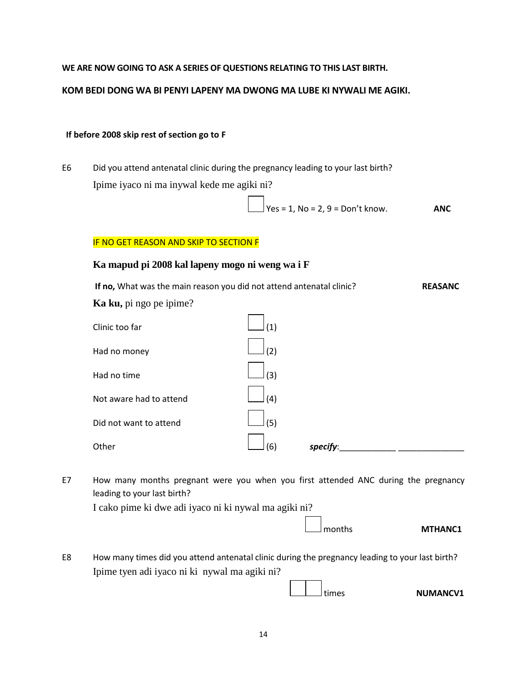**WE ARE NOW GOING TO ASK A SERIES OF QUESTIONS RELATING TO THIS LAST BIRTH.**

**KOM BEDI DONG WA BI PENYI LAPENY MA DWONG MA LUBE KI NYWALI ME AGIKI.**

#### **If before 2008 skip rest of section go to F**

E6 Did you attend antenatal clinic during the pregnancy leading to your last birth? Ipime iyaco ni ma inywal kede me agiki ni?

$$
\angle
$$
 Yes = 1, No = 2, 9 = Don't know. **ANC**

#### IF NO GET REASON AND SKIP TO SECTION F

#### **Ka mapud pi 2008 kal lapeny mogo ni weng wa i F**

**If no,** What was the main reason you did not attend antenatal clinic? **REASANC Ka ku,** pi ngo pe ipime?

| Clinic too far          | (1) |          |  |
|-------------------------|-----|----------|--|
| Had no money            | (2) |          |  |
| Had no time             | (3) |          |  |
| Not aware had to attend | (4) |          |  |
| Did not want to attend  | (5) |          |  |
| Other                   | (6) | specify: |  |
|                         |     |          |  |

E7 How many months pregnant were you when you first attended ANC during the pregnancy leading to your last birth?

I cako pime ki dwe adi iyaco ni ki nywal ma agiki ni?

|  | I months<br>MTHANC1 |
|--|---------------------|
|--|---------------------|

E8 How many times did you attend antenatal clinic during the pregnancy leading to your last birth? Ipime tyen adi iyaco ni ki nywal ma agiki ni?

14

times **NUMANCV1**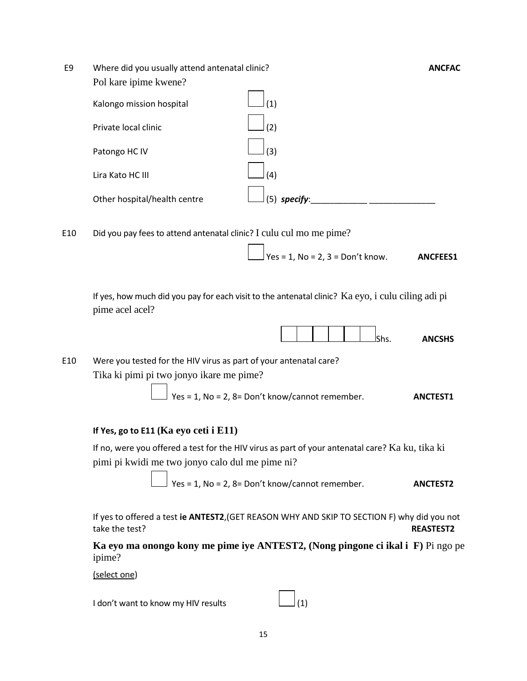| E9 | Where did you usually attend antenatal clinic? | <b>ANCFAC</b>   |  |
|----|------------------------------------------------|-----------------|--|
|    | Pol kare ipime kwene?                          |                 |  |
|    | Kalongo mission hospital                       | (1)             |  |
|    | Private local clinic                           | (2)             |  |
|    | Patongo HC IV                                  | (3)             |  |
|    | Lira Kato HC III                               | (4)             |  |
|    | Other hospital/health centre                   | (5)<br>specify: |  |

E10 Did you pay fees to attend antenatal clinic? I culu cul mo me pime?

 $\sqrt{Y}$ es = 1, No = 2, 3 = Don't know. **ANCFEES1** 

If yes, how much did you pay for each visit to the antenatal clinic? Ka eyo, i culu ciling adi pi pime acel acel?



E10 Were you tested for the HIV virus as part of your antenatal care? Tika ki pimi pi two jonyo ikare me pime?



#### **If Yes, go to E11 (Ka eyo ceti i E11)**

If no, were you offered a test for the HIV virus as part of your antenatal care? Ka ku, tika ki pimi pi kwidi me two jonyo calo dul me pime ni?

$$
Yes = 1, No = 2, 8 = Don't know/cannot remember.
$$
 **ANCTEST2**

If yes to offered a test **ie ANTEST2**,(GET REASON WHY AND SKIP TO SECTION F) why did you not take the test? **REASTEST2**

**Ka eyo ma onongo kony me pime iye ANTEST2, (Nong pingone ci ikal i F)** Pi ngo pe ipime?

(select one)

I don't want to know my HIV results  $\Box$ (1)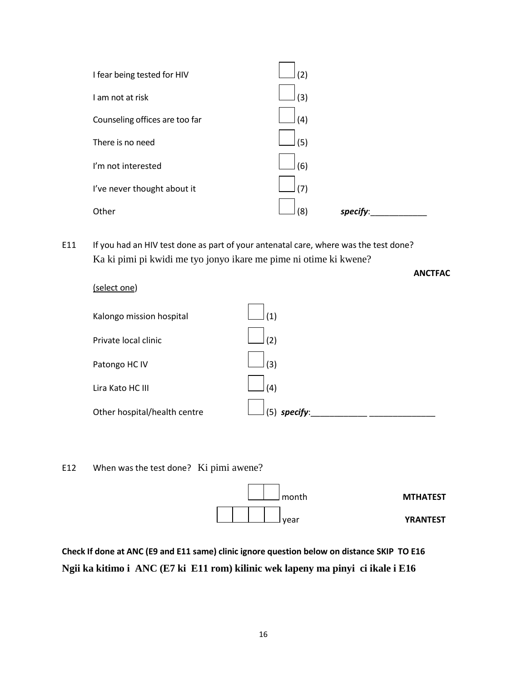| I fear being tested for HIV    | (2)             |
|--------------------------------|-----------------|
| I am not at risk               | (3)             |
| Counseling offices are too far | (4)             |
| There is no need               | (5)             |
| I'm not interested             | (6)             |
| I've never thought about it    | (7)             |
| Other                          | (8)<br>specify: |
|                                |                 |

E11 If you had an HIV test done as part of your antenatal care, where was the test done? Ka ki pimi pi kwidi me tyo jonyo ikare me pime ni otime ki kwene?

| (select one)                 |                |
|------------------------------|----------------|
| Kalongo mission hospital     | (1)            |
| Private local clinic         | (2)            |
| Patongo HC IV                | (3)            |
| Lira Kato HC III             | (4)            |
| Other hospital/health centre | $(5)$ specify: |

**ANCTFAC**

E12 When was the test done? Ki pimi awene?



**Check If done at ANC (E9 and E11 same) clinic ignore question below on distance SKIP TO E16 Ngii ka kitimo i ANC (E7 ki E11 rom) kilinic wek lapeny ma pinyi ci ikale i E16**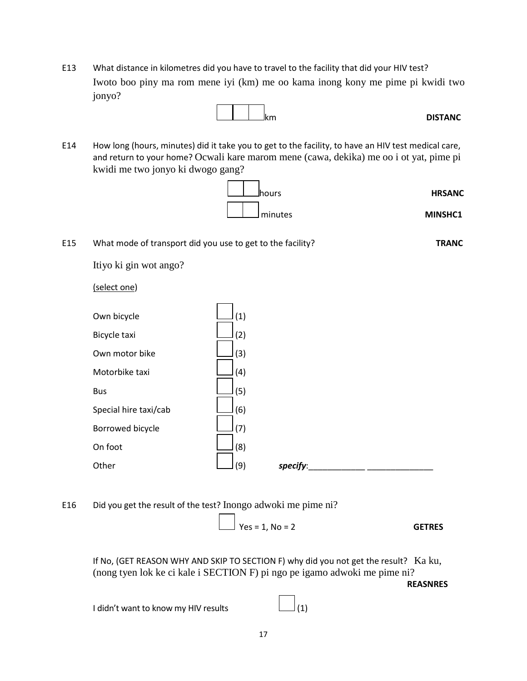E13 What distance in kilometres did you have to travel to the facility that did your HIV test? Iwoto boo piny ma rom mene iyi (km) me oo kama inong kony me pime pi kwidi two jonyo?



E14 How long (hours, minutes) did it take you to get to the facility, to have an HIV test medical care, and return to your home? Ocwali kare marom mene (cawa, dekika) me oo i ot yat, pime pi kwidi me two jonyo ki dwogo gang?



E15 What mode of transport did you use to get to the facility? **TRANC** Itiyo ki gin wot ango? (select one) Own bicycle  $\boxed{\qquad \qquad}$  (1)

| Own motor bike        | (3) |          |
|-----------------------|-----|----------|
| Motorbike taxi        | (4) |          |
| <b>Bus</b>            | (5) |          |
| Special hire taxi/cab | (6) |          |
| Borrowed bicycle      | (7) |          |
| On foot               | (8) |          |
| Other                 | (9) | specify: |

E16 Did you get the result of the test? Inongo adwoki me pime ni?

$$
Yes = 1, No = 2
$$

If No, (GET REASON WHY AND SKIP TO SECTION F) why did you not get the result? Ka ku, (nong tyen lok ke ci kale i SECTION F) pi ngo pe igamo adwoki me pime ni?

**REASNRES**

I didn't want to know my HIV results  $\Box$ (1)

Bicycle taxi (2)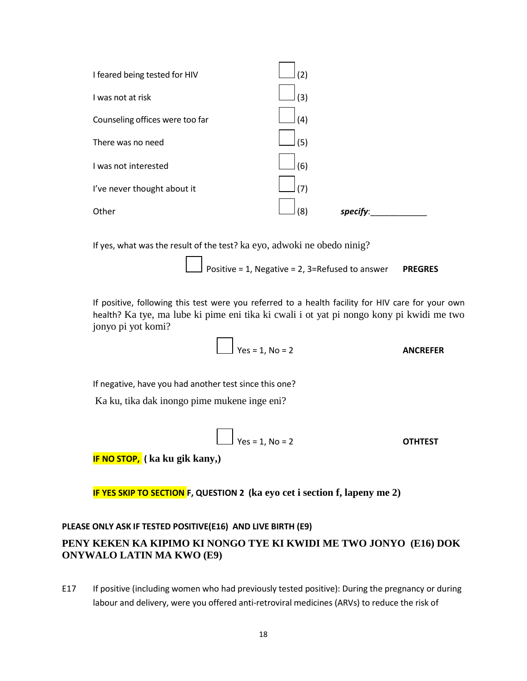

If yes, what was the result of the test? ka eyo, adwoki ne obedo ninig?

Positive = 1, Negative = 2, 3=Refused to answer **PREGRES**

If positive, following this test were you referred to a health facility for HIV care for your own health? Ka tye, ma lube ki pime eni tika ki cwali i ot yat pi nongo kony pi kwidi me two jonyo pi yot komi?

$$
Yes = 1, No = 2
$$
 **ANCEFER**

If negative, have you had another test since this one?

Ka ku, tika dak inongo pime mukene inge eni?

$$
Yes = 1, No = 2
$$
 **OTHTEST**

**IF NO STOP, ( ka ku gik kany,)**

**IF YES SKIP TO SECTION F, QUESTION 2 (ka eyo cet i section f, lapeny me 2)**

#### **PLEASE ONLY ASK IF TESTED POSITIVE(E16) AND LIVE BIRTH (E9)**

## **PENY KEKEN KA KIPIMO KI NONGO TYE KI KWIDI ME TWO JONYO (E16) DOK ONYWALO LATIN MA KWO (E9)**

E17 If positive (including women who had previously tested positive): During the pregnancy or during labour and delivery, were you offered anti-retroviral medicines (ARVs) to reduce the risk of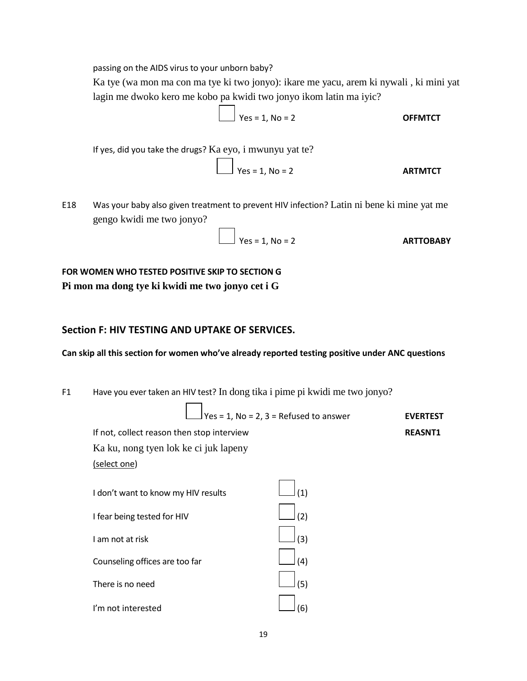passing on the AIDS virus to your unborn baby?

Ka tye (wa mon ma con ma tye ki two jonyo): ikare me yacu, arem ki nywali , ki mini yat lagin me dwoko kero me kobo pa kwidi two jonyo ikom latin ma iyic?

$$
Yes = 1, No = 2
$$

If yes, did you take the drugs? Ka eyo, i mwunyu yat te?

$$
Yes = 1, No = 2
$$

E18 Was your baby also given treatment to prevent HIV infection? Latin ni bene ki mine yat me gengo kwidi me two jonyo?

$$
\angle
$$
 Yes = 1, No = 2

**FOR WOMEN WHO TESTED POSITIVE SKIP TO SECTION G Pi mon ma dong tye ki kwidi me two jonyo cet i G**

## **Section F: HIV TESTING AND UPTAKE OF SERVICES.**

**Can skip all this section for women who've already reported testing positive under ANC questions**

F1 Have you ever taken an HIV test? In dong tika i pime pi kwidi me two jonyo?

$$
Yes = 1, No = 2, 3 = Refused to answer
$$
 **EVERTEST**

If not, collect reason then stop interview **REASNT1** Ka ku, nong tyen lok ke ci juk lapeny

(select one)

| (1)           |
|---------------|
| (2)           |
| $\vert_{(3)}$ |
|               |
| (5)           |
|               |
|               |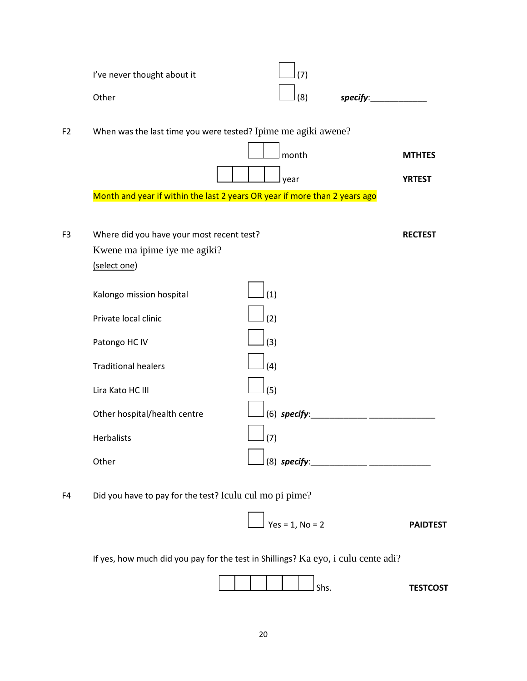|                | I've never thought about it                                                               | (7)               |                 |
|----------------|-------------------------------------------------------------------------------------------|-------------------|-----------------|
|                | Other                                                                                     | (8)               | specify:        |
| F <sub>2</sub> | When was the last time you were tested? Ipime me agiki awene?                             |                   |                 |
|                |                                                                                           | month             | <b>MTHTES</b>   |
|                |                                                                                           | year              | <b>YRTEST</b>   |
|                | Month and year if within the last 2 years OR year if more than 2 years ago                |                   |                 |
| F <sub>3</sub> | Where did you have your most recent test?<br>Kwene ma ipime iye me agiki?<br>(select one) |                   | <b>RECTEST</b>  |
|                | Kalongo mission hospital                                                                  | (1)               |                 |
|                | Private local clinic<br>Patongo HC IV                                                     | (2)<br>(3)        |                 |
|                | <b>Traditional healers</b>                                                                | (4)               |                 |
|                | Lira Kato HC III                                                                          | (5)               |                 |
|                | Other hospital/health centre                                                              | $(6)$ specify:    |                 |
|                | Herbalists                                                                                | (7)               |                 |
|                | Other                                                                                     | $(8)$ specify:    |                 |
| F4             | Did you have to pay for the test? Iculu cul mo pi pime?                                   |                   |                 |
|                |                                                                                           | $Yes = 1, No = 2$ | <b>PAIDTEST</b> |

If yes, how much did you pay for the test in Shillings? Ka eyo, i culu cente adi?

|  |  |  |  | <b>TESTCOST</b><br>ו כש |
|--|--|--|--|-------------------------|
|  |  |  |  |                         |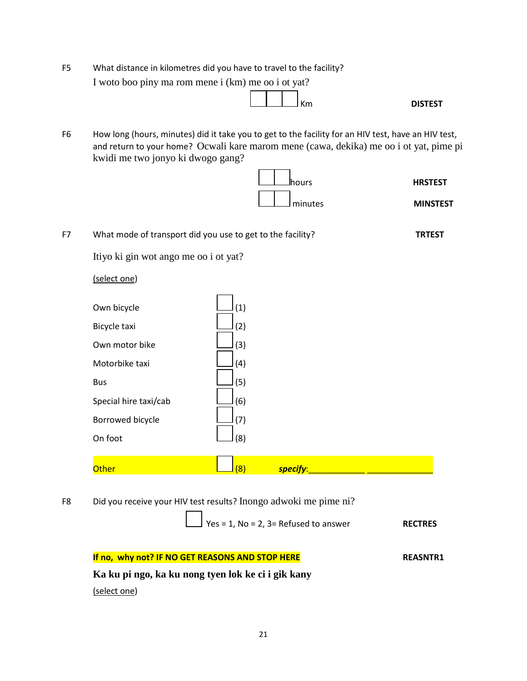F5 What distance in kilometres did you have to travel to the facility? I woto boo piny ma rom mene i (km) me oo i ot yat?



F6 How long (hours, minutes) did it take you to get to the facility for an HIV test, have an HIV test, and return to your home? Ocwali kare marom mene (cawa, dekika) me oo i ot yat, pime pi kwidi me two jonyo ki dwogo gang?



F7 What mode of transport did you use to get to the facility? **TRTEST** Itiyo ki gin wot ango me oo i ot yat? (select one)

| Own bicycle           | (1) |
|-----------------------|-----|
| Bicycle taxi          | (2) |
| Own motor bike        | (3) |
| Motorbike taxi        | (4) |
| Bus                   | (5) |
| Special hire taxi/cab | (6) |
| Borrowed bicycle      | (7) |
| On foot               |     |

|--|--|

F8 Did you receive your HIV test results? Inongo adwoki me pime ni?

$$
Yes = 1, No = 2, 3 = Refused to answer
$$
 **RECTRES**

| If no, why not? IF NO GET REASONS AND STOP HERE    | <b>REASNTR1</b> |
|----------------------------------------------------|-----------------|
| Ka ku pi ngo, ka ku nong tyen lok ke ci i gik kany |                 |
| (select one)                                       |                 |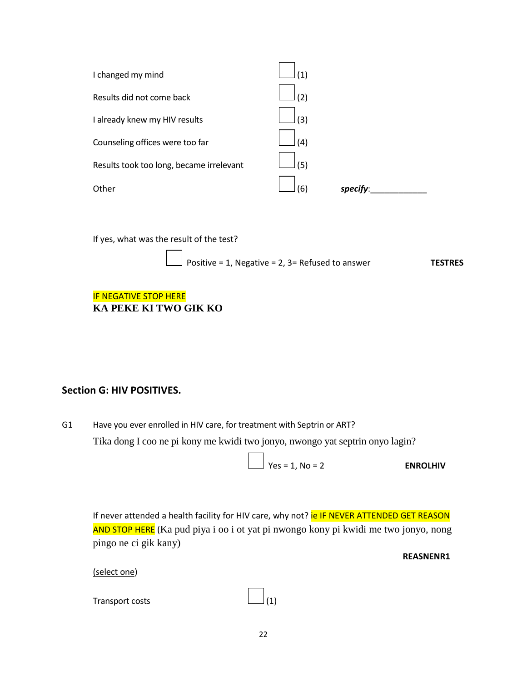| Other                                    | 61  | specify: |
|------------------------------------------|-----|----------|
| Results took too long, became irrelevant | (5) |          |
| Counseling offices were too far          | (4) |          |
| I already knew my HIV results            | (3) |          |
| Results did not come back                | (2) |          |
| I changed my mind                        | (1) |          |

If yes, what was the result of the test?

$$
\boxed{\qquad}
$$
 Positive = 1, Negative = 2, 3= Refused to answer\n**TESTRES**

#### **IF NEGATIVE STOP HERE KA PEKE KI TWO GIK KO**

## **Section G: HIV POSITIVES.**

G1 Have you ever enrolled in HIV care, for treatment with Septrin or ART? Tika dong I coo ne pi kony me kwidi two jonyo, nwongo yat septrin onyo lagin?

$$
Yes = 1, No = 2
$$
 **ENROLHIV**

If never attended a health facility for HIV care, why not? ie IF NEVER ATTENDED GET REASON AND STOP HERE (Ka pud piya i oo i ot yat pi nwongo kony pi kwidi me two jonyo, nong pingo ne ci gik kany)

**REASNENR1**

(select one)

| Transport costs | $\Box$ (1) |  |
|-----------------|------------|--|
|                 |            |  |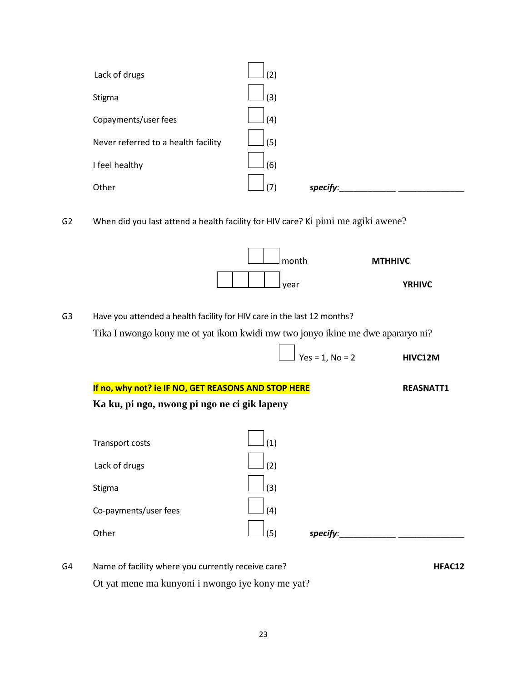| Lack of drugs                       | (2) |          |  |
|-------------------------------------|-----|----------|--|
| Stigma                              | (3) |          |  |
| Copayments/user fees                | (4) |          |  |
| Never referred to a health facility | (5) |          |  |
| I feel healthy                      | (6) |          |  |
| Other                               | (7) | specify: |  |

G2 When did you last attend a health facility for HIV care? Ki pimi me agiki awene?



G3 Have you attended a health facility for HIV care in the last 12 months? Tika I nwongo kony me ot yat ikom kwidi mw two jonyo ikine me dwe apararyo ni?

Yes = 1, No = 2 **HIVC12M**

**If no, why not? ie IF NO, GET REASONS AND STOP HERE** REASNATT1 **Ka ku, pi ngo, nwong pi ngo ne ci gik lapeny**

| Transport costs       | (1) |          |
|-----------------------|-----|----------|
| Lack of drugs         | (2) |          |
| Stigma                | (3) |          |
| Co-payments/user fees | (4) |          |
| Other                 | (5) | specify: |

G4 Name of facility where you currently receive care? **HFAC12** 

Ot yat mene ma kunyoni i nwongo iye kony me yat?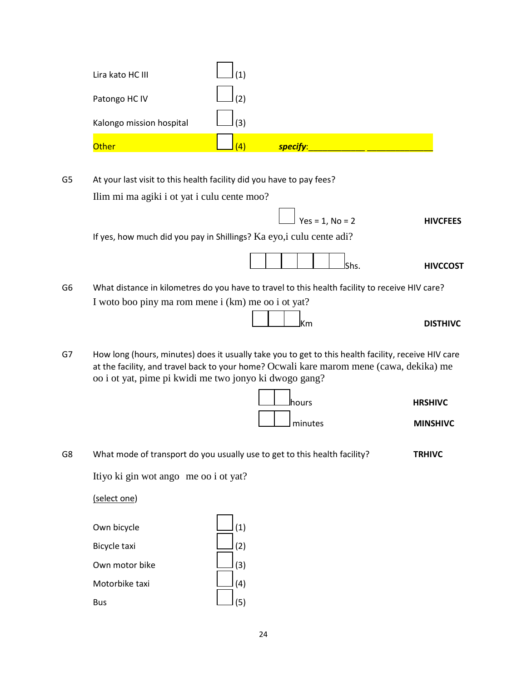| Lira kato HC III         | $\left( 1\right)$ |          |
|--------------------------|-------------------|----------|
| Patongo HC IV            | (2)               |          |
| Kalongo mission hospital | (3)               |          |
| Other                    | $\vert 4 \rangle$ | specify: |

| G5 | At your last visit to this health facility did you have to pay fees?                           |                 |  |  |
|----|------------------------------------------------------------------------------------------------|-----------------|--|--|
|    | Ilim mi ma agiki i ot yat i culu cente moo?                                                    |                 |  |  |
|    | $\boxed{\phantom{1}}$ Yes = 1. No = 2                                                          | <b>HIVCFEES</b> |  |  |
|    | If yes, how much did you pay in Shillings? Ka eyo, i culu cente adi?                           |                 |  |  |
|    |                                                                                                | <b>HIVCCOST</b> |  |  |
| G6 | What distance in kilometres do you have to travel to this health facility to receive HIV care? |                 |  |  |

I woto boo piny ma rom mene i (km) me oo i ot yat?

G7 How long (hours, minutes) does it usually take you to get to this health facility, receive HIV care at the facility, and travel back to your home? Ocwali kare marom mene (cawa, dekika) me oo i ot yat, pime pi kwidi me two jonyo ki dwogo gang?



G8 What mode of transport do you usually use to get to this health facility? **TRHIVC**

Itiyo ki gin wot ango me oo i ot yat?

(select one)

| Own bicycle    | (1) |
|----------------|-----|
| Bicycle taxi   | (2) |
| Own motor bike | (3) |
| Motorbike taxi |     |
| Bus            |     |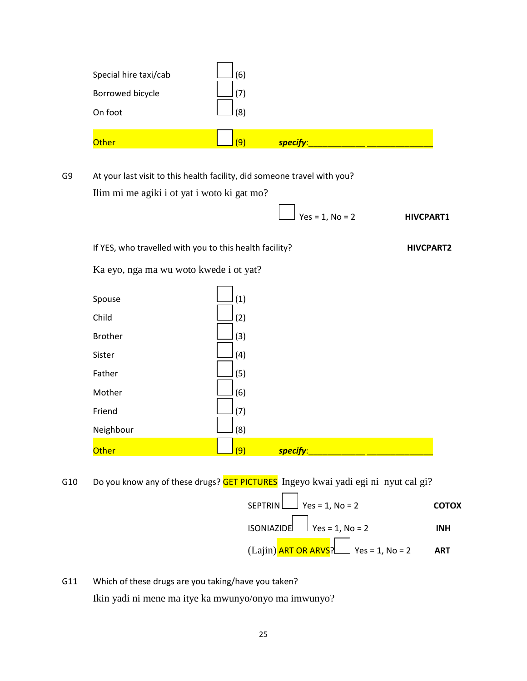| Borrowed bicycle<br>On foot | (7)<br>(8) |          |  |
|-----------------------------|------------|----------|--|
| Other                       | <u>(9)</u> | specify: |  |

G9 At your last visit to this health facility, did someone travel with you? Ilim mi me agiki i ot yat i woto ki gat mo?

 $\bigcup$  Yes = 1, No = 2 **HIVCPART1** 

If YES, who travelled with you to this health facility? **HIVCPART2** 

Ka eyo, nga ma wu woto kwede i ot yat?

| Spouse         | (1) |          |  |
|----------------|-----|----------|--|
| Child          | (2) |          |  |
| <b>Brother</b> | (3) |          |  |
| Sister         | (4) |          |  |
| Father         | (5) |          |  |
| Mother         | (6) |          |  |
| Friend         | (7) |          |  |
| Neighbour      | (8) |          |  |
| Other          | (9) | specify: |  |

G10 Do you know any of these drugs? **GET PICTURES** Ingeyo kwai yadi egi ni nyut cal gi?

 $\mathbf{r}$ 

SEPTRIN Yes = 1, No = 2 **COTOX** ISONIAZIDE Yes = 1, No = 2 **INH**

 $(Lajin)$  ART OR ARVS? Yes = 1, No = 2 ART

G11 Which of these drugs are you taking/have you taken? Ikin yadi ni mene ma itye ka mwunyo/onyo ma imwunyo?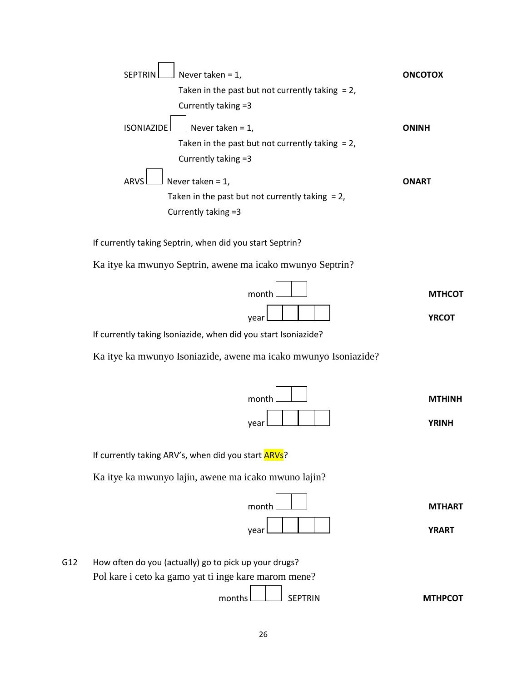| <b>SEPTRIN</b>    | Never taken = $1$ ,                                | <b>ONCOTOX</b> |
|-------------------|----------------------------------------------------|----------------|
|                   | Taken in the past but not currently taking $= 2$ , |                |
|                   | Currently taking =3                                |                |
| <b>ISONIAZIDE</b> | $\vert$ Never taken = 1,                           | <b>ONINH</b>   |
|                   | Taken in the past but not currently taking $= 2$ , |                |
|                   | Currently taking =3                                |                |
| <b>ARVS</b>       | Never taken = $1$ ,                                | <b>ONART</b>   |
|                   | Taken in the past but not currently taking $= 2$ , |                |
|                   | Currently taking =3                                |                |

If currently taking Septrin, when did you start Septrin?

Ka itye ka mwunyo Septrin, awene ma icako mwunyo Septrin?

| month L |  | <b>MTHCOT</b> |
|---------|--|---------------|
| vear    |  | <b>YRCOT</b>  |

If currently taking Isoniazide, when did you start Isoniazide?

Ka itye ka mwunyo Isoniazide, awene ma icako mwunyo Isoniazide?

| month l |  | <b>MTHINH</b> |  |
|---------|--|---------------|--|
| vear    |  | <b>YRINH</b>  |  |

If currently taking ARV's, when did you start **ARVs**?

Ka itye ka mwunyo lajin, awene ma icako mwuno lajin?

| month l |  |  |  |  |  | <b>MTHART</b> |  |
|---------|--|--|--|--|--|---------------|--|
| vear    |  |  |  |  |  | <b>YRART</b>  |  |

G12 How often do you (actually) go to pick up your drugs? Pol kare i ceto ka gamo yat ti inge kare marom mene? **MTHPCOT** months  $\Box$  SEPTRIN **MTHPCOT**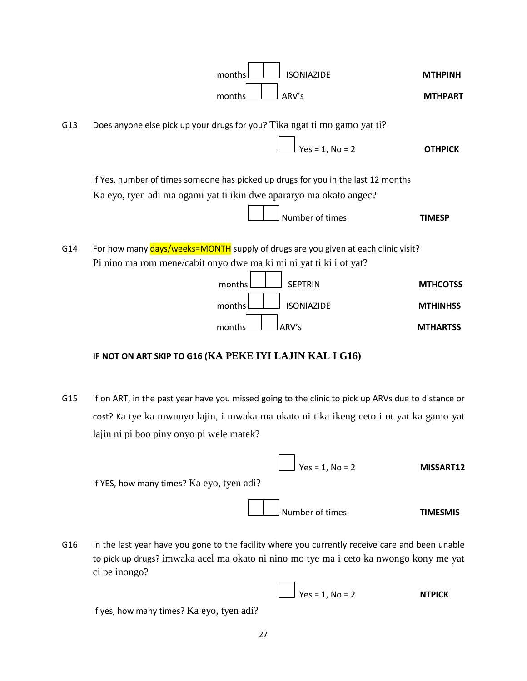

#### **IF NOT ON ART SKIP TO G16 (KA PEKE IYI LAJIN KAL I G16)**

G15 If on ART, in the past year have you missed going to the clinic to pick up ARVs due to distance or cost? Ka tye ka mwunyo lajin, i mwaka ma okato ni tika ikeng ceto i ot yat ka gamo yat lajin ni pi boo piny onyo pi wele matek?

|                                           | $Ves = 1, No = 2$ | MISSART12       |
|-------------------------------------------|-------------------|-----------------|
| If YES, how many times? Ka eyo, tyen adi? |                   |                 |
|                                           | Number of times   | <b>TIMESMIS</b> |

 $\int$  Yes = 1, No = 2 **NTPICK** 

G16 In the last year have you gone to the facility where you currently receive care and been unable to pick up drugs? imwaka acel ma okato ni nino mo tye ma i ceto ka nwongo kony me yat ci pe inongo?

If yes, how many times? Ka eyo, tyen adi?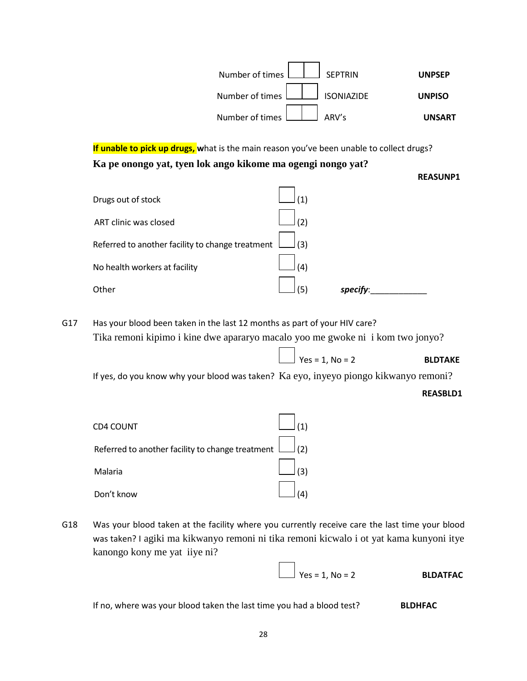

**If unable to pick up drugs, w**hat is the main reason you've been unable to collect drugs? **Ka pe onongo yat, tyen lok ango kikome ma ogengi nongo yat?**

| <b>REASUNP1</b> |
|-----------------|
|-----------------|

| Drugs out of stock                               | $\left( 1\right)$ |         |
|--------------------------------------------------|-------------------|---------|
| ART clinic was closed                            | (2)               |         |
| Referred to another facility to change treatment | $\vert$ (3)       |         |
| No health workers at facility                    | (4)               |         |
| Other                                            | Ίς,               | specify |

G17 Has your blood been taken in the last 12 months as part of your HIV care? Tika remoni kipimo i kine dwe apararyo macalo yoo me gwoke ni i kom two jonyo?

If yes, do you know why your blood was taken? Ka eyo, inyeyo piongo kikwanyo remoni?

#### **REASBLD1**

| CD4 COUNT                                                                 |     |
|---------------------------------------------------------------------------|-----|
| Referred to another facility to change treatment $\boxed{\phantom{a}}(2)$ |     |
| Malaria                                                                   | (3) |
| Don't know                                                                |     |

G18 Was your blood taken at the facility where you currently receive care the last time your blood was taken? I agiki ma kikwanyo remoni ni tika remoni kicwalo i ot yat kama kunyoni itye kanongo kony me yat iiye ni?

Yes = 1, No = 2 **BLDATFAC**

 $\int$  Yes = 1, No = 2 **BLDTAKE** 

If no, where was your blood taken the last time you had a blood test? **BLDHFAC**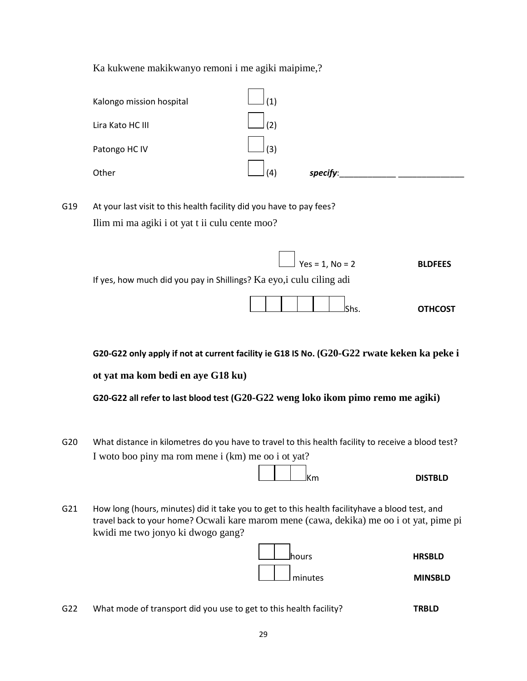Ka kukwene makikwanyo remoni i me agiki maipime,?

| Kalongo mission hospital | (1) |          |  |
|--------------------------|-----|----------|--|
| Lira Kato HC III         | (2) |          |  |
| Patongo HC IV            | (3) |          |  |
| Other                    | (4) | specify: |  |

- G19 At your last visit to this health facility did you have to pay fees? Ilim mi ma agiki i ot yat t ii culu cente moo?
	- Yes = 1, No = 2 **BLDFEES** If yes, how much did you pay in Shillings? Ka eyo,i culu ciling adi Shs. **OTHCOST**

**G20-G22 only apply if not at current facility ie G18 IS No. (G20-G22 rwate keken ka peke i**

**ot yat ma kom bedi en aye G18 ku)**

**G20-G22 all refer to last blood test (G20-G22 weng loko ikom pimo remo me agiki)**

G20 What distance in kilometres do you have to travel to this health facility to receive a blood test? I woto boo piny ma rom mene i (km) me oo i ot yat?

| <b>DISTBLD</b><br>ΙK<br>'n<br>. |
|---------------------------------|
|---------------------------------|

G21 How long (hours, minutes) did it take you to get to this health facilityhave a blood test, and travel back to your home? Ocwali kare marom mene (cawa, dekika) me oo i ot yat, pime pi kwidi me two jonyo ki dwogo gang?



G22 What mode of transport did you use to get to this health facility? **TRBLD**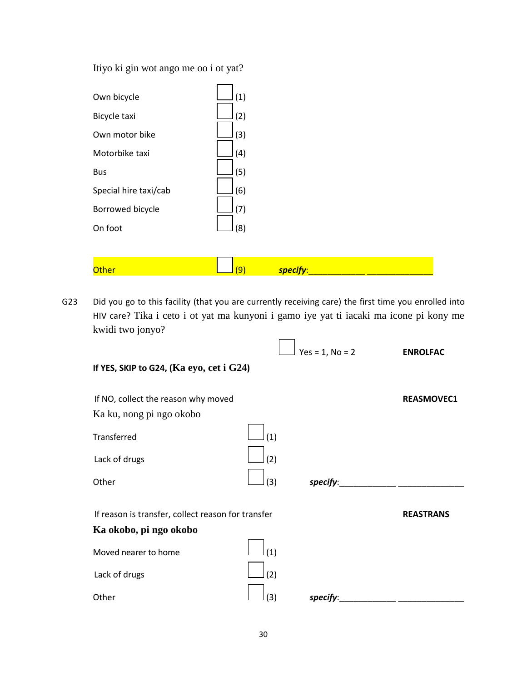Itiyo ki gin wot ango me oo i ot yat?

| Own bicycle           | (1) |          |  |
|-----------------------|-----|----------|--|
| Bicycle taxi          | (2) |          |  |
| Own motor bike        | (3) |          |  |
| Motorbike taxi        | (4) |          |  |
| <b>Bus</b>            | (5) |          |  |
| Special hire taxi/cab | (6) |          |  |
| Borrowed bicycle      | (7) |          |  |
| On foot               | (8) |          |  |
|                       |     |          |  |
| <b>Other</b>          | (9) | specify: |  |

G23 Did you go to this facility (that you are currently receiving care) the first time you enrolled into HIV care? Tika i ceto i ot yat ma kunyoni i gamo iye yat ti iacaki ma icone pi kony me kwidi two jonyo?

|                                                    |     | $Yes = 1, No = 2$ | <b>ENROLFAC</b>   |
|----------------------------------------------------|-----|-------------------|-------------------|
| If YES, SKIP to G24, ( $Ka$ eyo, cet i $G24$ )     |     |                   |                   |
| If NO, collect the reason why moved                |     |                   | <b>REASMOVEC1</b> |
| Ka ku, nong pi ngo okobo                           |     |                   |                   |
| Transferred                                        | (1) |                   |                   |
| Lack of drugs                                      | (2) |                   |                   |
| Other                                              | (3) | specify:          |                   |
| If reason is transfer, collect reason for transfer |     |                   | <b>REASTRANS</b>  |
| Ka okobo, pi ngo okobo                             |     |                   |                   |
| Moved nearer to home                               | (1) |                   |                   |
| Lack of drugs                                      | (2) |                   |                   |
| Other                                              | (3) | specify:          |                   |